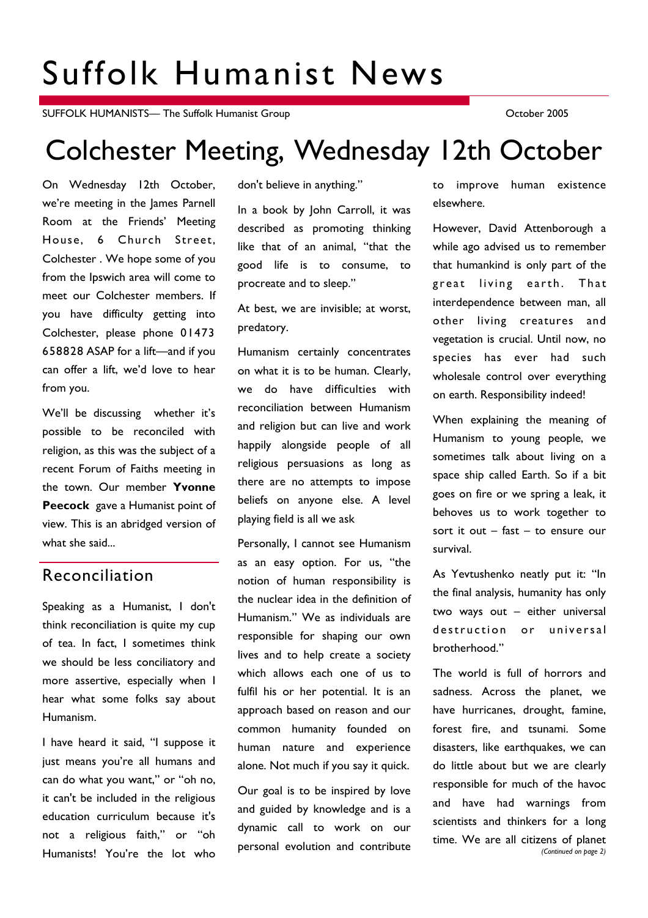# Suffolk Humanist News

SUFFOLK HUMANISTS— The Suffolk Humanist Group Contract Contract Contract Contract Contract October 2005

## Colchester Meeting, Wednesday 12th October

On Wednesday 12th October, we're meeting in the James Parnell Room at the Friends' Meeting House, 6 Church Street, Colchester . We hope some of you from the Ipswich area will come to meet our Colchester members. If you have difficulty getting into Colchester, please phone 01473 658828 ASAP for a lift—and if you can offer a lift, we'd love to hear from you.

We'll be discussing whether it's possible to be reconciled with religion, as this was the subject of a recent Forum of Faiths meeting in the town. Our member **Yvonne Peecock** gave a Humanist point of view. This is an abridged version of what she said...

## Reconciliation

Speaking as a Humanist, I don't think reconciliation is quite my cup of tea. In fact, I sometimes think we should be less conciliatory and more assertive, especially when I hear what some folks say about Humanism.

I have heard it said, "I suppose it just means you're all humans and can do what you want," or "oh no, it can't be included in the religious education curriculum because it's not a religious faith," or "oh Humanists! You're the lot who

don't believe in anything."

In a book by John Carroll, it was described as promoting thinking like that of an animal, "that the good life is to consume, to procreate and to sleep."

At best, we are invisible; at worst, predatory.

Humanism certainly concentrates on what it is to be human. Clearly, we do have difficulties with reconciliation between Humanism and religion but can live and work happily alongside people of all religious persuasions as long as there are no attempts to impose beliefs on anyone else. A level playing field is all we ask

Personally, I cannot see Humanism as an easy option. For us, "the notion of human responsibility is the nuclear idea in the definition of Humanism." We as individuals are responsible for shaping our own lives and to help create a society which allows each one of us to fulfil his or her potential. It is an approach based on reason and our common humanity founded on human nature and experience alone. Not much if you say it quick.

Our goal is to be inspired by love and guided by knowledge and is a dynamic call to work on our personal evolution and contribute to improve human existence elsewhere.

However, David Attenborough a while ago advised us to remember that humankind is only part of the great living earth. That interdependence between man, all other living creatures and vegetation is crucial. Until now, no species has ever had such wholesale control over everything on earth. Responsibility indeed!

When explaining the meaning of Humanism to young people, we sometimes talk about living on a space ship called Earth. So if a bit goes on fire or we spring a leak, it behoves us to work together to sort it out – fast – to ensure our survival.

As Yevtushenko neatly put it: "In the final analysis, humanity has only two ways out – either universal destruction or universal brotherhood."

The world is full of horrors and sadness. Across the planet, we have hurricanes, drought, famine, forest fire, and tsunami. Some disasters, like earthquakes, we can do little about but we are clearly responsible for much of the havoc and have had warnings from scientists and thinkers for a long time. We are all citizens of planet *(Continued on page 2)*